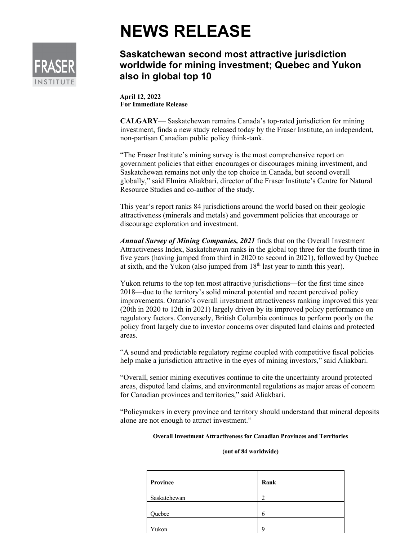# **NEWS RELEASE**

## **Saskatchewan second most attractive jurisdiction worldwide for mining investment; Quebec and Yukon also in global top 10**

**April 12, 2022 For Immediate Release**

**CALGARY**— Saskatchewan remains Canada's top-rated jurisdiction for mining investment, finds a new study released today by the Fraser Institute, an independent, non-partisan Canadian public policy think-tank.

"The Fraser Institute's mining survey is the most comprehensive report on government policies that either encourages or discourages mining investment, and Saskatchewan remains not only the top choice in Canada, but second overall globally," said Elmira Aliakbari, director of the Fraser Institute's Centre for Natural Resource Studies and co-author of the study.

This year's report ranks 84 jurisdictions around the world based on their geologic attractiveness (minerals and metals) and government policies that encourage or discourage exploration and investment.

*Annual Survey of Mining Companies, 2021* finds that on the Overall Investment Attractiveness Index, Saskatchewan ranks in the global top three for the fourth time in five years (having jumped from third in 2020 to second in 2021), followed by Quebec at sixth, and the Yukon (also jumped from  $18<sup>th</sup>$  last year to ninth this year).

Yukon returns to the top ten most attractive jurisdictions—for the first time since 2018—due to the territory's solid mineral potential and recent perceived policy improvements. Ontario's overall investment attractiveness ranking improved this year (20th in 2020 to 12th in 2021) largely driven by its improved policy performance on regulatory factors. Conversely, British Columbia continues to perform poorly on the policy front largely due to investor concerns over disputed land claims and protected areas.

"A sound and predictable regulatory regime coupled with competitive fiscal policies help make a jurisdiction attractive in the eyes of mining investors," said Aliakbari.

"Overall, senior mining executives continue to cite the uncertainty around protected areas, disputed land claims, and environmental regulations as major areas of concern for Canadian provinces and territories," said Aliakbari.

"Policymakers in every province and territory should understand that mineral deposits alone are not enough to attract investment."

#### **Overall Investment Attractiveness for Canadian Provinces and Territories**

#### **(out of 84 worldwide)**

| Province     | Rank          |
|--------------|---------------|
|              |               |
| Saskatchewan | $\mathcal{D}$ |
|              |               |
| Quebec       | 6             |
|              |               |
| Yukon        | $\Omega$      |